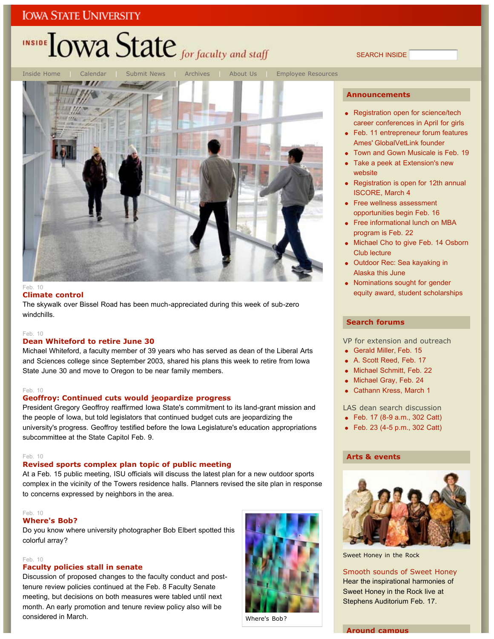## **IOWA STATE UNIVERSITY**

## INSIDE LOWA State for faculty and staff

Inside Home | Calendar | Submit News | Archives | About Us | Employee Resources

#### $Fah$  10 **Climate control**

The skywalk over Bissel Road has been much-appreciated during this week of sub-zero windchills.

#### $Fah$  10

#### **Dean Whiteford to retire June 30**

Michael Whiteford, a faculty member of 39 years who has served as dean of the Liberal Arts and Sciences college since September 2003, shared his plans this week to retire from Iowa State June 30 and move to Oregon to be near family members.

#### Feb. 10

#### **Geoffroy: Continued cuts would jeopardize progress**

President Gregory Geoffroy reaffirmed Iowa State's commitment to its land-grant mission and the people of Iowa, but told legislators that continued budget cuts are jeopardizing the university's progress. Geoffroy testified before the Iowa Legislature's education appropriations subcommittee at the State Capitol Feb. 9.

#### Feb. 10

#### **Revised sports complex plan topic of public meeting**

At a Feb. 15 public meeting, ISU officials will discuss the latest plan for a new outdoor sports complex in the vicinity of the Towers residence halls. Planners revised the site plan in response to concerns expressed by neighbors in the area.

#### $Feh$  10

#### **Where's Bob?**

Do you know where university photographer Bob Elbert spotted this colorful array?

#### Feb. 10

#### **Faculty policies stall in senate**

Discussion of proposed changes to the faculty conduct and posttenure review policies continued at the Feb. 8 Faculty Senate meeting, but decisions on both measures were tabled until next month. An early promotion and tenure review policy also will be considered in March.



Where's Bob?

#### **Announcements**

SEARCH INSIDE

- Registration open for science/tech career conferences in April for girls
- Feb. 11 entrepreneur forum features Ames' GlobalVetLink founder
- Town and Gown Musicale is Feb. 19
- Take a peek at Extension's new website
- Registration is open for 12th annual ISCORE, March 4
- Free wellness assessment opportunities begin Feb. 16
- Free informational lunch on MBA program is Feb. 22
- Michael Cho to give Feb. 14 Osborn Club lecture
- Outdoor Rec: Sea kayaking in Alaska this June
- Nominations sought for gender equity award, student scholarships

#### **Search forums**

VP for extension and outreach

- Gerald Miller, Feb. 15
- A. Scott Reed, Feb. 17
- Michael Schmitt, Feb. 22
- Michael Gray, Feb. 24
- Cathann Kress, March 1

#### LAS dean search discussion

- Feb. 17 (8-9 a.m., 302 Catt)
- Feb. 23 (4-5 p.m., 302 Catt)

#### **Arts & events**



Sweet Honey in the Rock

Smooth sounds of Sweet Honey Hear the inspirational harmonies of Sweet Honey in the Rock live at Stephens Auditorium Feb. 17.

**Around campus**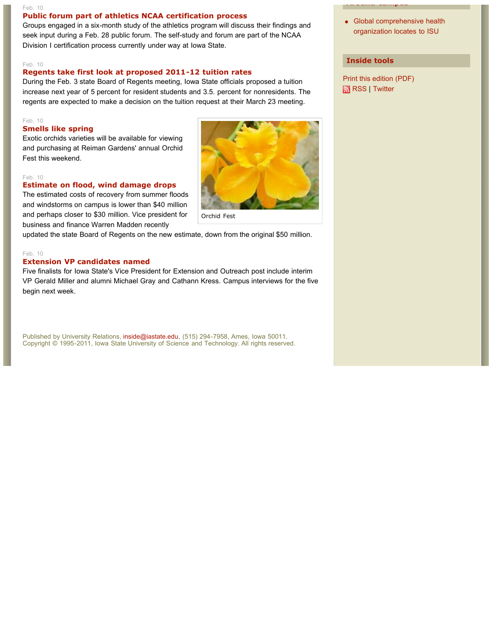#### Feb. 10 **Public forum part of athletics NCAA certification process**

Groups engaged in a six-month study of the athletics program will discuss their findings and seek input during a Feb. 28 public forum. The self-study and forum are part of the NCAA Division I certification process currently under way at Iowa State.

#### Feb. 10

#### **Regents take first look at proposed 2011-12 tuition rates**

During the Feb. 3 state Board of Regents meeting, Iowa State officials proposed a tuition increase next year of 5 percent for resident students and 3.5. percent for nonresidents. The regents are expected to make a decision on the tuition request at their March 23 meeting.

#### Feb. 10 **Smells like spring**

Exotic orchids varieties will be available for viewing and purchasing at Reiman Gardens' annual Orchid Fest this weekend.

#### Feb. 10

#### **Estimate on flood, wind damage drops**



The estimated costs of recovery from summer floods and windstorms on campus is lower than \$40 million and perhaps closer to \$30 million. Vice president for business and finance Warren Madden recently

updated the state Board of Regents on the new estimate, down from the original \$50 million.

#### Feb. 10

#### **Extension VP candidates named**

Five finalists for Iowa State's Vice President for Extension and Outreach post include interim VP Gerald Miller and alumni Michael Gray and Cathann Kress. Campus interviews for the five begin next week.

Published by University Relations, inside@iastate.edu, (515) 294-7958, Ames, Iowa 50011. Copyright © 1995-2011, Iowa State University of Science and Technology. All rights reserved. • Global comprehensive health organization locates to ISU

#### **Inside tools**

Print this edition (PDF) RSS | Twitter

**Around campus**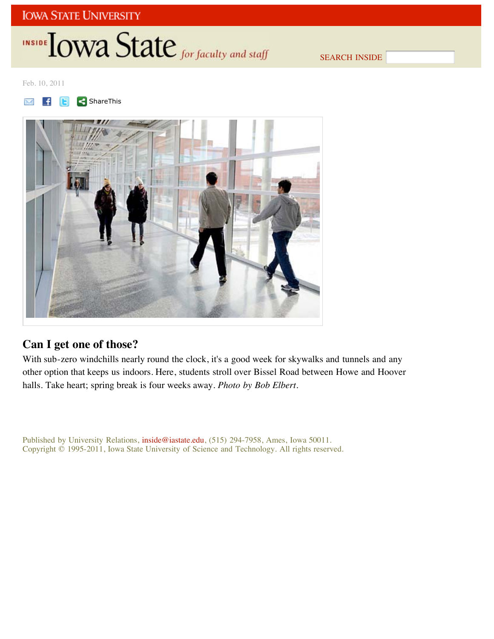## **IOWA STATE UNIVERSITY**

## INSIDE **IOWA State** for faculty and staff

SEARCH INSIDE

Feb. 10, 2011





## **Can I get one of those?**

With sub-zero windchills nearly round the clock, it's a good week for skywalks and tunnels and any other option that keeps us indoors. Here, students stroll over Bissel Road between Howe and Hoover halls. Take heart; spring break is four weeks away. *Photo by Bob Elbert*.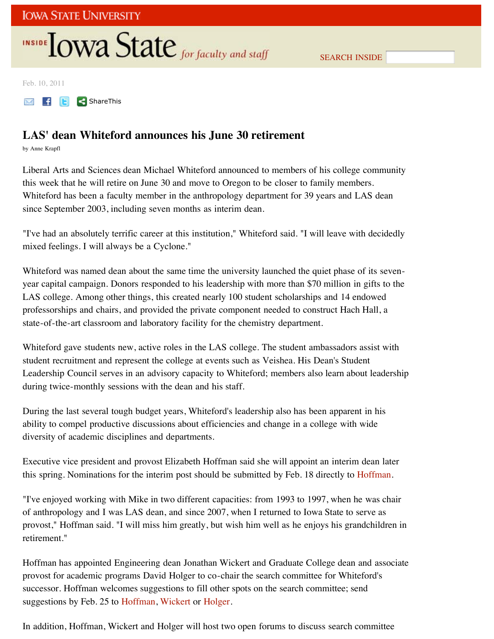SEARCH INSIDE

Feb. 10, 2011

**ShareThis** 

### **LAS' dean Whiteford announces his June 30 retirement**

by Anne Krapfl

Liberal Arts and Sciences dean Michael Whiteford announced to members of his college community this week that he will retire on June 30 and move to Oregon to be closer to family members. Whiteford has been a faculty member in the anthropology department for 39 years and LAS dean since September 2003, including seven months as interim dean.

"I've had an absolutely terrific career at this institution," Whiteford said. "I will leave with decidedly mixed feelings. I will always be a Cyclone."

Whiteford was named dean about the same time the university launched the quiet phase of its sevenyear capital campaign. Donors responded to his leadership with more than \$70 million in gifts to the LAS college. Among other things, this created nearly 100 student scholarships and 14 endowed professorships and chairs, and provided the private component needed to construct Hach Hall, a state-of-the-art classroom and laboratory facility for the chemistry department.

Whiteford gave students new, active roles in the LAS college. The student ambassadors assist with student recruitment and represent the college at events such as Veishea. His Dean's Student Leadership Council serves in an advisory capacity to Whiteford; members also learn about leadership during twice-monthly sessions with the dean and his staff.

During the last several tough budget years, Whiteford's leadership also has been apparent in his ability to compel productive discussions about efficiencies and change in a college with wide diversity of academic disciplines and departments.

Executive vice president and provost Elizabeth Hoffman said she will appoint an interim dean later this spring. Nominations for the interim post should be submitted by Feb. 18 directly to Hoffman.

"I've enjoyed working with Mike in two different capacities: from 1993 to 1997, when he was chair of anthropology and I was LAS dean, and since 2007, when I returned to Iowa State to serve as provost," Hoffman said. "I will miss him greatly, but wish him well as he enjoys his grandchildren in retirement."

Hoffman has appointed Engineering dean Jonathan Wickert and Graduate College dean and associate provost for academic programs David Holger to co-chair the search committee for Whiteford's successor. Hoffman welcomes suggestions to fill other spots on the search committee; send suggestions by Feb. 25 to Hoffman, Wickert or Holger.

In addition, Hoffman, Wickert and Holger will host two open forums to discuss search committee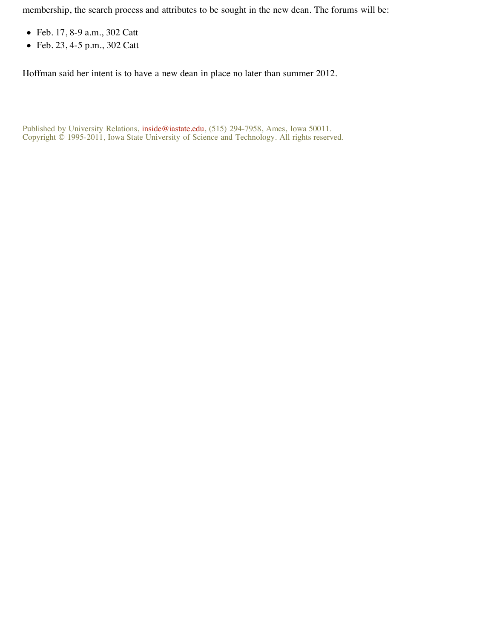membership, the search process and attributes to be sought in the new dean. The forums will be:

- Feb. 17, 8-9 a.m., 302 Catt
- Feb. 23, 4-5 p.m., 302 Catt

Hoffman said her intent is to have a new dean in place no later than summer 2012.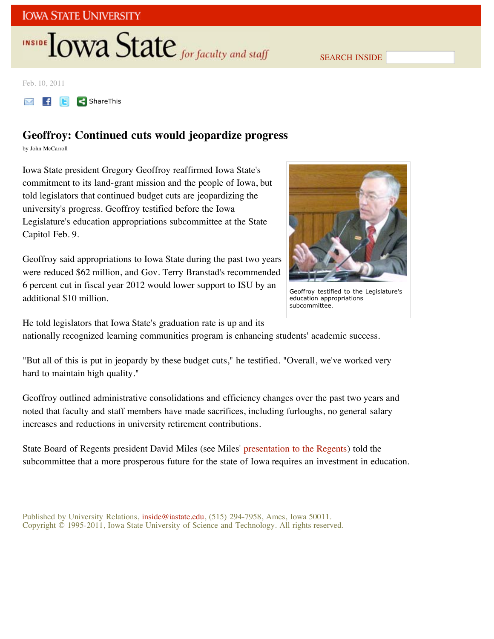SEARCH INSIDE

Feb. 10, 2011

 $\begin{array}{|c|c|c|}\n\hline\n\end{array}$   $\begin{array}{|c|c|}\n\hline\n\end{array}$  ShareThis M

## **Geoffroy: Continued cuts would jeopardize progress**

by John McCarroll

Iowa State president Gregory Geoffroy reaffirmed Iowa State's commitment to its land-grant mission and the people of Iowa, but told legislators that continued budget cuts are jeopardizing the university's progress. Geoffroy testified before the Iowa Legislature's education appropriations subcommittee at the State Capitol Feb. 9.

Geoffroy said appropriations to Iowa State during the past two years were reduced \$62 million, and Gov. Terry Branstad's recommended 6 percent cut in fiscal year 2012 would lower support to ISU by an additional \$10 million.



Geoffroy testified to the Legislature's education appropriations subcommittee.

He told legislators that Iowa State's graduation rate is up and its

nationally recognized learning communities program is enhancing students' academic success.

"But all of this is put in jeopardy by these budget cuts," he testified. "Overall, we've worked very hard to maintain high quality."

Geoffroy outlined administrative consolidations and efficiency changes over the past two years and noted that faculty and staff members have made sacrifices, including furloughs, no general salary increases and reductions in university retirement contributions.

State Board of Regents president David Miles (see Miles' presentation to the Regents) told the subcommittee that a more prosperous future for the state of Iowa requires an investment in education.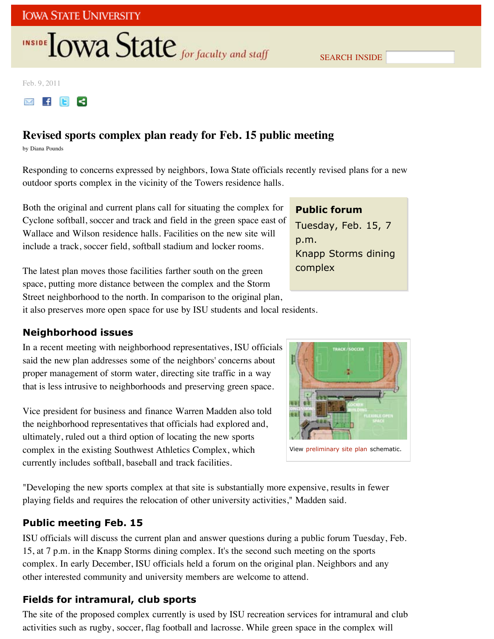SEARCH INSIDE

Feb. 9, 2011

**MFIE**  $\prec$ 

## **Revised sports complex plan ready for Feb. 15 public meeting**

by Diana Pounds

Responding to concerns expressed by neighbors, Iowa State officials recently revised plans for a new outdoor sports complex in the vicinity of the Towers residence halls.

Both the original and current plans call for situating the complex for Cyclone softball, soccer and track and field in the green space east of Wallace and Wilson residence halls. Facilities on the new site will include a track, soccer field, softball stadium and locker rooms.

The latest plan moves those facilities farther south on the green space, putting more distance between the complex and the Storm Street neighborhood to the north. In comparison to the original plan, it also preserves more open space for use by ISU students and local residents.

## **Public forum** Tuesday, Feb. 15, 7 p.m. Knapp Storms dining complex

**Neighborhood issues**

In a recent meeting with neighborhood representatives, ISU officials said the new plan addresses some of the neighbors' concerns about proper management of storm water, directing site traffic in a way that is less intrusive to neighborhoods and preserving green space.

Vice president for business and finance Warren Madden also told the neighborhood representatives that officials had explored and, ultimately, ruled out a third option of locating the new sports complex in the existing Southwest Athletics Complex, which currently includes softball, baseball and track facilities.

View preliminary site plan schematic.

"Developing the new sports complex at that site is substantially more expensive, results in fewer playing fields and requires the relocation of other university activities," Madden said.

### **Public meeting Feb. 15**

ISU officials will discuss the current plan and answer questions during a public forum Tuesday, Feb. 15, at 7 p.m. in the Knapp Storms dining complex. It's the second such meeting on the sports complex. In early December, ISU officials held a forum on the original plan. Neighbors and any other interested community and university members are welcome to attend.

## **Fields for intramural, club sports**

The site of the proposed complex currently is used by ISU recreation services for intramural and club activities such as rugby, soccer, flag football and lacrosse. While green space in the complex will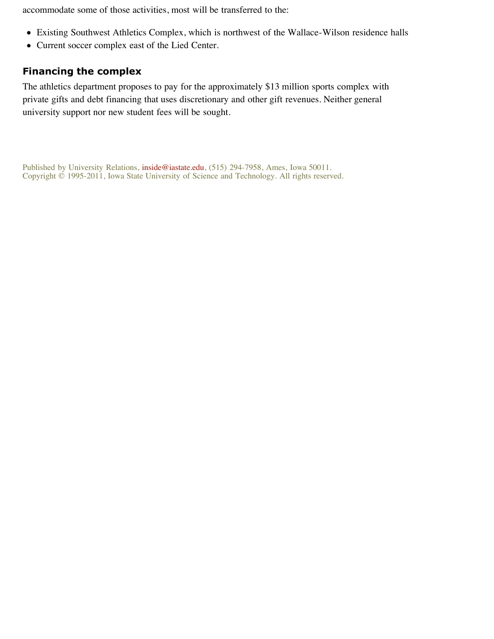accommodate some of those activities, most will be transferred to the:

- Existing Southwest Athletics Complex, which is northwest of the Wallace-Wilson residence halls
- Current soccer complex east of the Lied Center.

### **Financing the complex**

The athletics department proposes to pay for the approximately \$13 million sports complex with private gifts and debt financing that uses discretionary and other gift revenues. Neither general university support nor new student fees will be sought.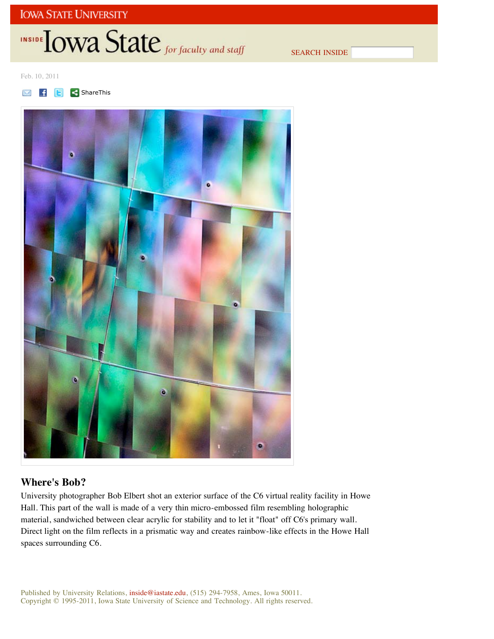SEARCH INSIDE

Feb. 10, 2011





## **Where's Bob?**

University photographer Bob Elbert shot an exterior surface of the C6 virtual reality facility in Howe Hall. This part of the wall is made of a very thin micro-embossed film resembling holographic material, sandwiched between clear acrylic for stability and to let it "float" off C6's primary wall. Direct light on the film reflects in a prismatic way and creates rainbow-like effects in the Howe Hall spaces surrounding C6.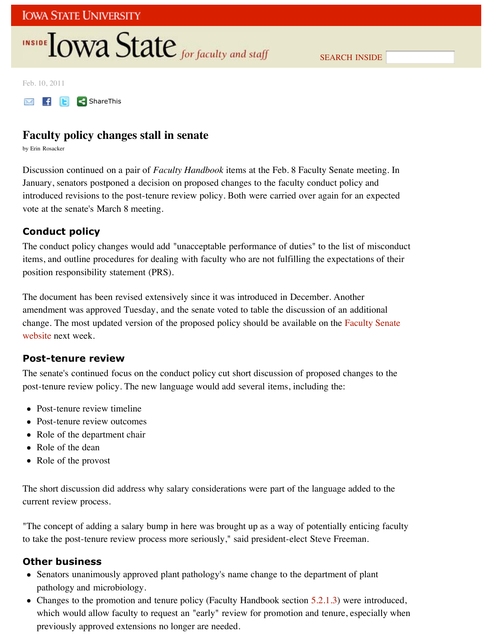Feb. 10, 2011

**M f E** < ShareThis

### **Faculty policy changes stall in senate**

by Erin Rosacker

Discussion continued on a pair of *Faculty Handbook* items at the Feb. 8 Faculty Senate meeting. In January, senators postponed a decision on proposed changes to the faculty conduct policy and introduced revisions to the post-tenure review policy. Both were carried over again for an expected vote at the senate's March 8 meeting.

### **Conduct policy**

The conduct policy changes would add "unacceptable performance of duties" to the list of misconduct items, and outline procedures for dealing with faculty who are not fulfilling the expectations of their position responsibility statement (PRS).

The document has been revised extensively since it was introduced in December. Another amendment was approved Tuesday, and the senate voted to table the discussion of an additional change. The most updated version of the proposed policy should be available on the Faculty Senate website next week.

### **Post-tenure review**

The senate's continued focus on the conduct policy cut short discussion of proposed changes to the post-tenure review policy. The new language would add several items, including the:

- Post-tenure review timeline
- Post-tenure review outcomes
- Role of the department chair
- Role of the dean
- Role of the provost

The short discussion did address why salary considerations were part of the language added to the current review process.

"The concept of adding a salary bump in here was brought up as a way of potentially enticing faculty to take the post-tenure review process more seriously," said president-elect Steve Freeman.

#### **Other business**

- Senators unanimously approved plant pathology's name change to the department of plant pathology and microbiology.
- Changes to the promotion and tenure policy (Faculty Handbook section 5.2.1.3) were introduced, which would allow faculty to request an "early" review for promotion and tenure, especially when previously approved extensions no longer are needed.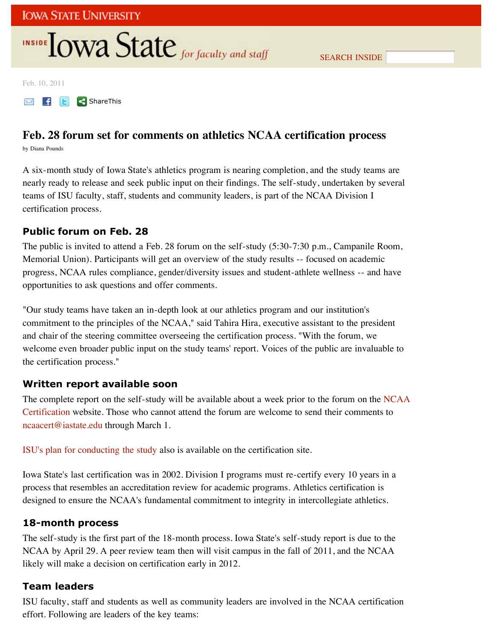Feb. 10, 2011

**M f E ShareThis** 

## **Feb. 28 forum set for comments on athletics NCAA certification process**

by Diana Pounds

A six-month study of Iowa State's athletics program is nearing completion, and the study teams are nearly ready to release and seek public input on their findings. The self-study, undertaken by several teams of ISU faculty, staff, students and community leaders, is part of the NCAA Division I certification process.

### **Public forum on Feb. 28**

The public is invited to attend a Feb. 28 forum on the self-study (5:30-7:30 p.m., Campanile Room, Memorial Union). Participants will get an overview of the study results -- focused on academic progress, NCAA rules compliance, gender/diversity issues and student-athlete wellness -- and have opportunities to ask questions and offer comments.

"Our study teams have taken an in-depth look at our athletics program and our institution's commitment to the principles of the NCAA," said Tahira Hira, executive assistant to the president and chair of the steering committee overseeing the certification process. "With the forum, we welcome even broader public input on the study teams' report. Voices of the public are invaluable to the certification process."

### **Written report available soon**

The complete report on the self-study will be available about a week prior to the forum on the NCAA Certification website. Those who cannot attend the forum are welcome to send their comments to ncaacert@iastate.edu through March 1.

ISU's plan for conducting the study also is available on the certification site.

Iowa State's last certification was in 2002. Division I programs must re-certify every 10 years in a process that resembles an accreditation review for academic programs. Athletics certification is designed to ensure the NCAA's fundamental commitment to integrity in intercollegiate athletics.

### **18-month process**

The self-study is the first part of the 18-month process. Iowa State's self-study report is due to the NCAA by April 29. A peer review team then will visit campus in the fall of 2011, and the NCAA likely will make a decision on certification early in 2012.

### **Team leaders**

ISU faculty, staff and students as well as community leaders are involved in the NCAA certification effort. Following are leaders of the key teams: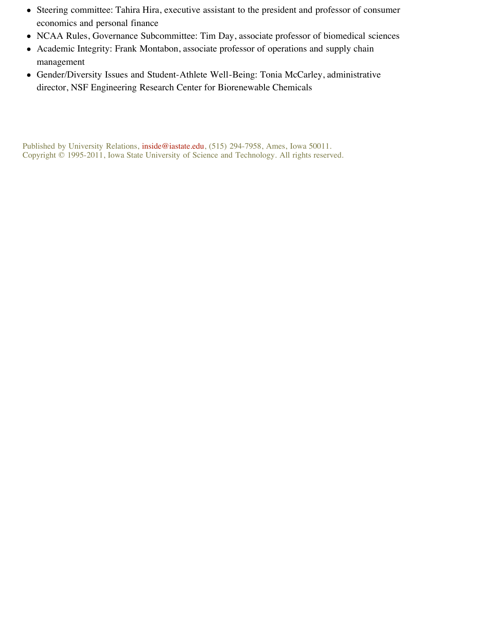- Steering committee: Tahira Hira, executive assistant to the president and professor of consumer economics and personal finance
- NCAA Rules, Governance Subcommittee: Tim Day, associate professor of biomedical sciences
- Academic Integrity: Frank Montabon, associate professor of operations and supply chain management
- Gender/Diversity Issues and Student-Athlete Well-Being: Tonia McCarley, administrative director, NSF Engineering Research Center for Biorenewable Chemicals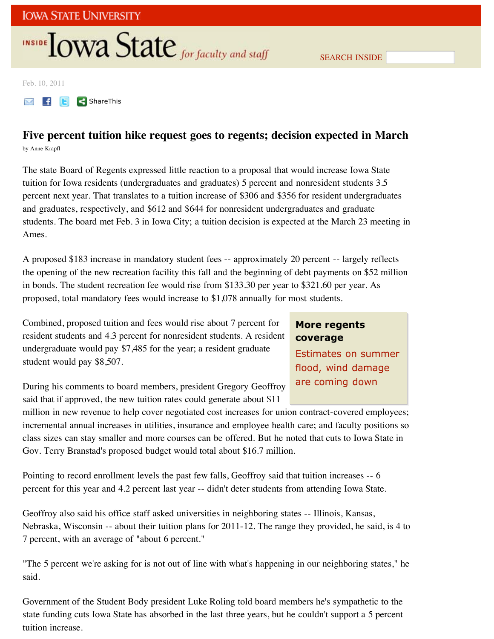Feb. 10, 2011

**M f E ShareThis** 

## **Five percent tuition hike request goes to regents; decision expected in March**

by Anne Krapfl

The state Board of Regents expressed little reaction to a proposal that would increase Iowa State tuition for Iowa residents (undergraduates and graduates) 5 percent and nonresident students 3.5 percent next year. That translates to a tuition increase of \$306 and \$356 for resident undergraduates and graduates, respectively, and \$612 and \$644 for nonresident undergraduates and graduate students. The board met Feb. 3 in Iowa City; a tuition decision is expected at the March 23 meeting in Ames.

A proposed \$183 increase in mandatory student fees -- approximately 20 percent -- largely reflects the opening of the new recreation facility this fall and the beginning of debt payments on \$52 million in bonds. The student recreation fee would rise from \$133.30 per year to \$321.60 per year. As proposed, total mandatory fees would increase to \$1,078 annually for most students.

Combined, proposed tuition and fees would rise about 7 percent for resident students and 4.3 percent for nonresident students. A resident undergraduate would pay \$7,485 for the year; a resident graduate student would pay \$8,507.

## **More regents coverage**

Estimates on summer flood, wind damage are coming down

During his comments to board members, president Gregory Geoffroy said that if approved, the new tuition rates could generate about \$11

million in new revenue to help cover negotiated cost increases for union contract-covered employees; incremental annual increases in utilities, insurance and employee health care; and faculty positions so class sizes can stay smaller and more courses can be offered. But he noted that cuts to Iowa State in Gov. Terry Branstad's proposed budget would total about \$16.7 million.

Pointing to record enrollment levels the past few falls, Geoffroy said that tuition increases -- 6 percent for this year and 4.2 percent last year -- didn't deter students from attending Iowa State.

Geoffroy also said his office staff asked universities in neighboring states -- Illinois, Kansas, Nebraska, Wisconsin -- about their tuition plans for 2011-12. The range they provided, he said, is 4 to 7 percent, with an average of "about 6 percent."

"The 5 percent we're asking for is not out of line with what's happening in our neighboring states," he said.

Government of the Student Body president Luke Roling told board members he's sympathetic to the state funding cuts Iowa State has absorbed in the last three years, but he couldn't support a 5 percent tuition increase.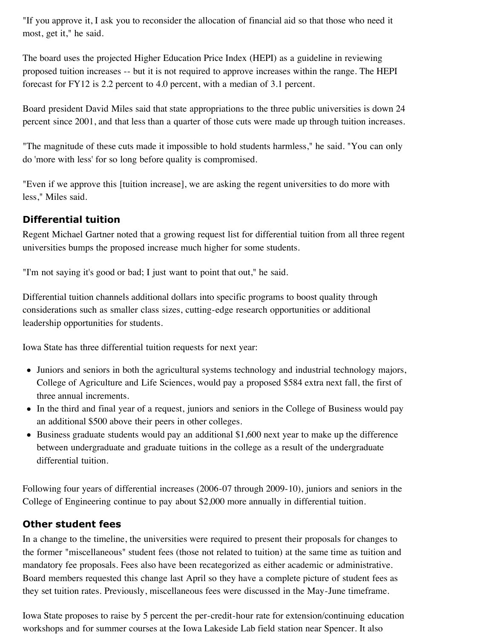"If you approve it, I ask you to reconsider the allocation of financial aid so that those who need it most, get it," he said.

The board uses the projected Higher Education Price Index (HEPI) as a guideline in reviewing proposed tuition increases -- but it is not required to approve increases within the range. The HEPI forecast for FY12 is 2.2 percent to 4.0 percent, with a median of 3.1 percent.

Board president David Miles said that state appropriations to the three public universities is down 24 percent since 2001, and that less than a quarter of those cuts were made up through tuition increases.

"The magnitude of these cuts made it impossible to hold students harmless," he said. "You can only do 'more with less' for so long before quality is compromised.

"Even if we approve this [tuition increase], we are asking the regent universities to do more with less," Miles said.

### **Differential tuition**

Regent Michael Gartner noted that a growing request list for differential tuition from all three regent universities bumps the proposed increase much higher for some students.

"I'm not saying it's good or bad; I just want to point that out," he said.

Differential tuition channels additional dollars into specific programs to boost quality through considerations such as smaller class sizes, cutting-edge research opportunities or additional leadership opportunities for students.

Iowa State has three differential tuition requests for next year:

- Juniors and seniors in both the agricultural systems technology and industrial technology majors, College of Agriculture and Life Sciences, would pay a proposed \$584 extra next fall, the first of three annual increments.
- In the third and final year of a request, juniors and seniors in the College of Business would pay an additional \$500 above their peers in other colleges.
- Business graduate students would pay an additional \$1,600 next year to make up the difference between undergraduate and graduate tuitions in the college as a result of the undergraduate differential tuition.

Following four years of differential increases (2006-07 through 2009-10), juniors and seniors in the College of Engineering continue to pay about \$2,000 more annually in differential tuition.

### **Other student fees**

In a change to the timeline, the universities were required to present their proposals for changes to the former "miscellaneous" student fees (those not related to tuition) at the same time as tuition and mandatory fee proposals. Fees also have been recategorized as either academic or administrative. Board members requested this change last April so they have a complete picture of student fees as they set tuition rates. Previously, miscellaneous fees were discussed in the May-June timeframe.

Iowa State proposes to raise by 5 percent the per-credit-hour rate for extension/continuing education workshops and for summer courses at the Iowa Lakeside Lab field station near Spencer. It also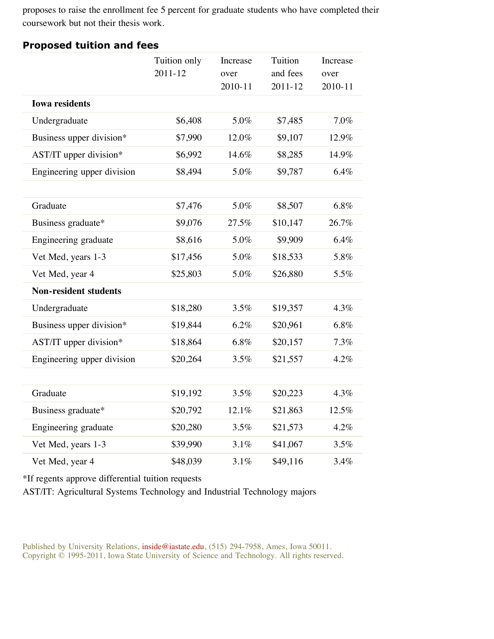proposes to raise the enrollment fee 5 percent for graduate students who have completed their coursework but not their thesis work.

|                              | Tuition only<br>2011-12 | Increase<br>over<br>2010-11 | Tuition<br>and fees<br>$2011 - 12$ | Increase<br>over<br>2010-11 |
|------------------------------|-------------------------|-----------------------------|------------------------------------|-----------------------------|
| <b>Iowa residents</b>        |                         |                             |                                    |                             |
| Undergraduate                | \$6,408                 | 5.0%                        | \$7,485                            | 7.0%                        |
| Business upper division*     | \$7,990                 | 12.0%                       | \$9,107                            | 12.9%                       |
| AST/IT upper division*       | \$6,992                 | 14.6%                       | \$8,285                            | 14.9%                       |
| Engineering upper division   | \$8,494                 | 5.0%                        | \$9,787                            | 6.4%                        |
|                              |                         |                             |                                    |                             |
| Graduate                     | \$7,476                 | 5.0%                        | \$8,507                            | 6.8%                        |
| Business graduate*           | \$9,076                 | 27.5%                       | \$10,147                           | 26.7%                       |
| Engineering graduate         | \$8,616                 | 5.0%                        | \$9,909                            | 6.4%                        |
| Vet Med, years 1-3           | \$17,456                | 5.0%                        | \$18,533                           | 5.8%                        |
| Vet Med, year 4              | \$25,803                | 5.0%                        | \$26,880                           | 5.5%                        |
| <b>Non-resident students</b> |                         |                             |                                    |                             |
| Undergraduate                | \$18,280                | 3.5%                        | \$19,357                           | 4.3%                        |
| Business upper division*     | \$19,844                | 6.2%                        | \$20,961                           | 6.8%                        |
| AST/IT upper division*       | \$18,864                | 6.8%                        | \$20,157                           | 7.3%                        |
| Engineering upper division   | \$20,264                | 3.5%                        | \$21,557                           | 4.2%                        |
|                              |                         |                             |                                    |                             |
| Graduate                     | \$19,192                | 3.5%                        | \$20,223                           | 4.3%                        |
| Business graduate*           | \$20,792                | 12.1%                       | \$21,863                           | 12.5%                       |
| Engineering graduate         | \$20,280                | 3.5%                        | \$21,573                           | 4.2%                        |
| Vet Med, years 1-3           | \$39,990                | $3.1\%$                     | \$41,067                           | 3.5%                        |
| Vet Med, year 4              | \$48,039                | 3.1%                        | \$49,116                           | 3.4%                        |

#### **Proposed tuition and fees**

\*If regents approve differential tuition requests

AST/IT: Agricultural Systems Technology and Industrial Technology majors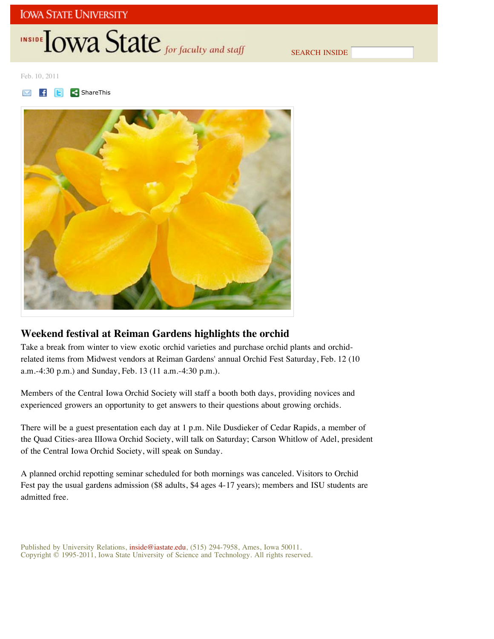SEARCH INSIDE

Feb. 10, 2011

ShareThis



### **Weekend festival at Reiman Gardens highlights the orchid**

Take a break from winter to view exotic orchid varieties and purchase orchid plants and orchidrelated items from Midwest vendors at Reiman Gardens' annual Orchid Fest Saturday, Feb. 12 (10 a.m.-4:30 p.m.) and Sunday, Feb. 13 (11 a.m.-4:30 p.m.).

Members of the Central Iowa Orchid Society will staff a booth both days, providing novices and experienced growers an opportunity to get answers to their questions about growing orchids.

There will be a guest presentation each day at 1 p.m. Nile Dusdieker of Cedar Rapids, a member of the Quad Cities-area IlIowa Orchid Society, will talk on Saturday; Carson Whitlow of Adel, president of the Central Iowa Orchid Society, will speak on Sunday.

A planned orchid repotting seminar scheduled for both mornings was canceled. Visitors to Orchid Fest pay the usual gardens admission (\$8 adults, \$4 ages 4-17 years); members and ISU students are admitted free.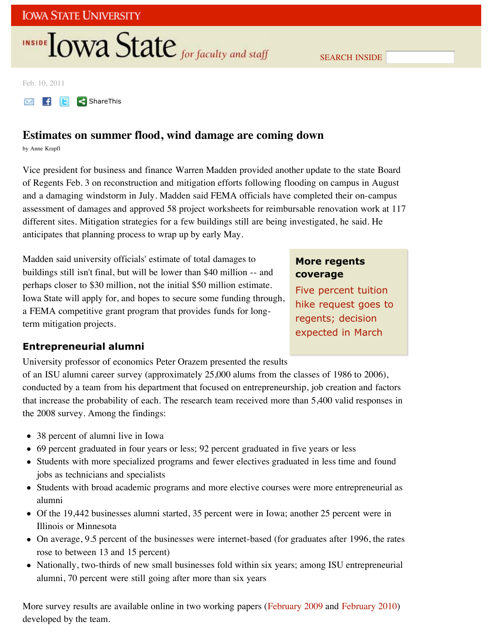SEARCH INSIDE

Feb. 10, 2011

**M f E ShareThis** 

### **Estimates on summer flood, wind damage are coming down**

by Anne Krapfl

Vice president for business and finance Warren Madden provided another update to the state Board of Regents Feb. 3 on reconstruction and mitigation efforts following flooding on campus in August and a damaging windstorm in July. Madden said FEMA officials have completed their on-campus assessment of damages and approved 58 project worksheets for reimbursable renovation work at 117 different sites. Mitigation strategies for a few buildings still are being investigated, he said. He anticipates that planning process to wrap up by early May.

Madden said university officials' estimate of total damages to buildings still isn't final, but will be lower than \$40 million -- and perhaps closer to \$30 million, not the initial \$50 million estimate. Iowa State will apply for, and hopes to secure some funding through, a FEMA competitive grant program that provides funds for longterm mitigation projects.

### **More regents coverage**

Five percent tuition hike request goes to regents; decision expected in March

### **Entrepreneurial alumni**

University professor of economics Peter Orazem presented the results

of an ISU alumni career survey (approximately 25,000 alums from the classes of 1986 to 2006), conducted by a team from his department that focused on entrepreneurship, job creation and factors that increase the probability of each. The research team received more than 5,400 valid responses in the 2008 survey. Among the findings:

- 38 percent of alumni live in Iowa
- 69 percent graduated in four years or less; 92 percent graduated in five years or less
- Students with more specialized programs and fewer electives graduated in less time and found jobs as technicians and specialists
- Students with broad academic programs and more elective courses were more entrepreneurial as alumni
- Of the 19,442 businesses alumni started, 35 percent were in Iowa; another 25 percent were in Illinois or Minnesota
- On average, 9.5 percent of the businesses were internet-based (for graduates after 1996, the rates rose to between 13 and 15 percent)
- Nationally, two-thirds of new small businesses fold within six years; among ISU entrepreneurial alumni, 70 percent were still going after more than six years

More survey results are available online in two working papers (February 2009 and February 2010) developed by the team.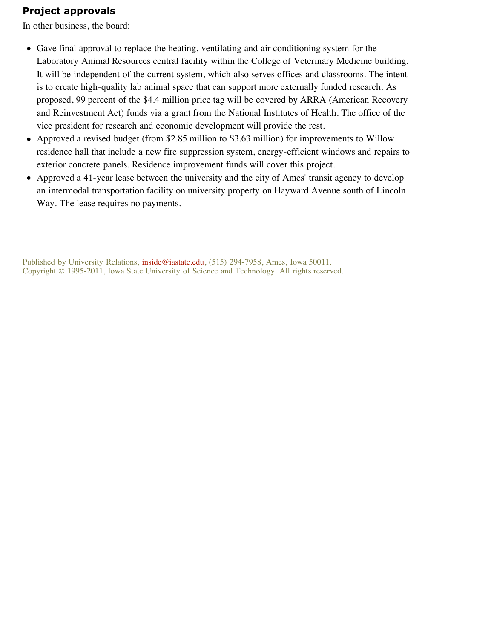### **Project approvals**

In other business, the board:

- Gave final approval to replace the heating, ventilating and air conditioning system for the Laboratory Animal Resources central facility within the College of Veterinary Medicine building. It will be independent of the current system, which also serves offices and classrooms. The intent is to create high-quality lab animal space that can support more externally funded research. As proposed, 99 percent of the \$4.4 million price tag will be covered by ARRA (American Recovery and Reinvestment Act) funds via a grant from the National Institutes of Health. The office of the vice president for research and economic development will provide the rest.
- Approved a revised budget (from \$2.85 million to \$3.63 million) for improvements to Willow residence hall that include a new fire suppression system, energy-efficient windows and repairs to exterior concrete panels. Residence improvement funds will cover this project.
- Approved a 41-year lease between the university and the city of Ames' transit agency to develop an intermodal transportation facility on university property on Hayward Avenue south of Lincoln Way. The lease requires no payments.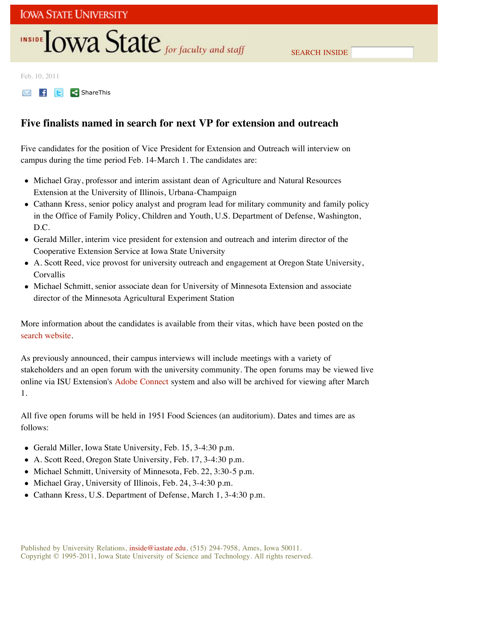SEARCH INSIDE

Feb. 10, 2011

**M F E ShareThis** 

### **Five finalists named in search for next VP for extension and outreach**

Five candidates for the position of Vice President for Extension and Outreach will interview on campus during the time period Feb. 14-March 1. The candidates are:

- Michael Gray, professor and interim assistant dean of Agriculture and Natural Resources Extension at the University of Illinois, Urbana-Champaign
- Cathann Kress, senior policy analyst and program lead for military community and family policy in the Office of Family Policy, Children and Youth, U.S. Department of Defense, Washington, D.C.
- Gerald Miller, interim vice president for extension and outreach and interim director of the Cooperative Extension Service at Iowa State University
- A. Scott Reed, vice provost for university outreach and engagement at Oregon State University, Corvallis
- Michael Schmitt, senior associate dean for University of Minnesota Extension and associate director of the Minnesota Agricultural Experiment Station

More information about the candidates is available from their vitas, which have been posted on the search website.

As previously announced, their campus interviews will include meetings with a variety of stakeholders and an open forum with the university community. The open forums may be viewed live online via ISU Extension's Adobe Connect system and also will be archived for viewing after March 1.

All five open forums will be held in 1951 Food Sciences (an auditorium). Dates and times are as follows:

- Gerald Miller, Iowa State University, Feb. 15, 3-4:30 p.m.
- A. Scott Reed, Oregon State University, Feb. 17, 3-4:30 p.m.
- Michael Schmitt, University of Minnesota, Feb. 22, 3:30-5 p.m.
- Michael Gray, University of Illinois, Feb. 24, 3-4:30 p.m.
- Cathann Kress, U.S. Department of Defense, March 1, 3-4:30 p.m.